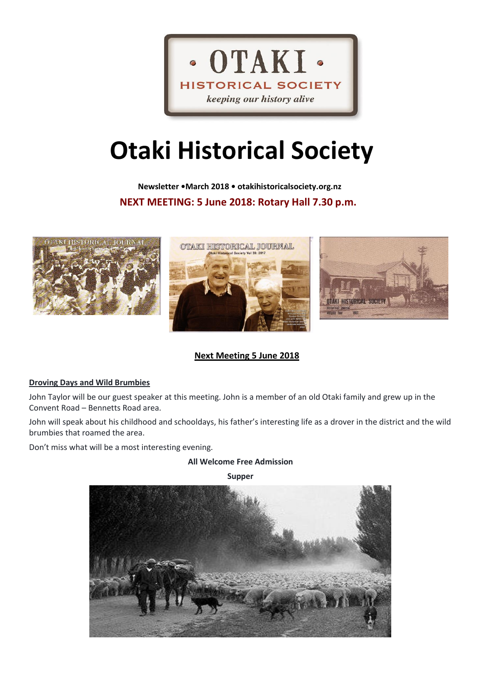

# **Otaki Historical Society**

 **Newsletter •March 2018 • otakihistoricalsociety.org.nz NEXT MEETING: 5 June 2018: Rotary Hall 7.30 p.m.**



## **Next Meeting 5 June 2018**

## **Droving Days and Wild Brumbies**

John Taylor will be our guest speaker at this meeting. John is a member of an old Otaki family and grew up in the Convent Road – Bennetts Road area.

John will speak about his childhood and schooldays, his father's interesting life as a drover in the district and the wild brumbies that roamed the area.

Don't miss what will be a most interesting evening.

## **All Welcome Free Admission**

**Supper**

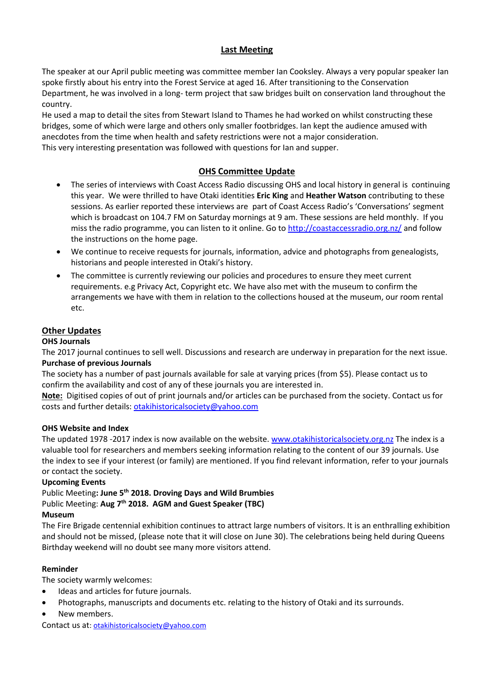## **Last Meeting**

The speaker at our April public meeting was committee member Ian Cooksley. Always a very popular speaker Ian spoke firstly about his entry into the Forest Service at aged 16. After transitioning to the Conservation Department, he was involved in a long- term project that saw bridges built on conservation land throughout the country.

He used a map to detail the sites from Stewart Island to Thames he had worked on whilst constructing these bridges, some of which were large and others only smaller footbridges. Ian kept the audience amused with anecdotes from the time when health and safety restrictions were not a major consideration. This very interesting presentation was followed with questions for Ian and supper.

## **OHS Committee Update**

- The series of interviews with Coast Access Radio discussing OHS and local history in general is continuing this year. We were thrilled to have Otaki identities **Eric King** and **Heather Watson** contributing to these sessions. As earlier reported these interviews are part of Coast Access Radio's 'Conversations' segment which is broadcast on 104.7 FM on Saturday mornings at 9 am. These sessions are held monthly. If you miss the radio programme, you can listen to it online. Go t[o http://coastaccessradio.org.nz/](http://coastaccessradio.org.nz/) and follow the instructions on the home page.
- We continue to receive requests for journals, information, advice and photographs from genealogists, historians and people interested in Otaki's history.
- The committee is currently reviewing our policies and procedures to ensure they meet current requirements. e.g Privacy Act, Copyright etc. We have also met with the museum to confirm the arrangements we have with them in relation to the collections housed at the museum, our room rental etc.

## **Other Updates**

## **OHS Journals**

The 2017 journal continues to sell well. Discussions and research are underway in preparation for the next issue. **Purchase of previous Journals**

The society has a number of past journals available for sale at varying prices (from \$5). Please contact us to confirm the availability and cost of any of these journals you are interested in.

**Note:** Digitised copies of out of print journals and/or articles can be purchased from the society. Contact us for costs and further details[: otakihistoricalsociety@yahoo.com](mailto:otakihistoricalsociety@yahoo.com)

## **OHS Website and Index**

The updated 1978 -2017 index is now available on the website. [www.otakihistoricalsociety.org.nz](http://www.otakihistoricalsociety.org.nz/) The index is a valuable tool for researchers and members seeking information relating to the content of our 39 journals. Use the index to see if your interest (or family) are mentioned. If you find relevant information, refer to your journals or contact the society.

#### **Upcoming Events**

Public Meeting**: June 5th 2018. Droving Days and Wild Brumbies** Public Meeting: **Aug 7th 2018. AGM and Guest Speaker (TBC)**

#### **Museum**

The Fire Brigade centennial exhibition continues to attract large numbers of visitors. It is an enthralling exhibition and should not be missed, (please note that it will close on June 30). The celebrations being held during Queens Birthday weekend will no doubt see many more visitors attend.

#### **Reminder**

The society warmly welcomes:

- Ideas and articles for future journals.
- Photographs, manuscripts and documents etc. relating to the history of Otaki and its surrounds.
- New members.

Contact us at[: otakihistoricalsociety@yahoo.com](mailto:otakihistoricalsociety@yahoo.com)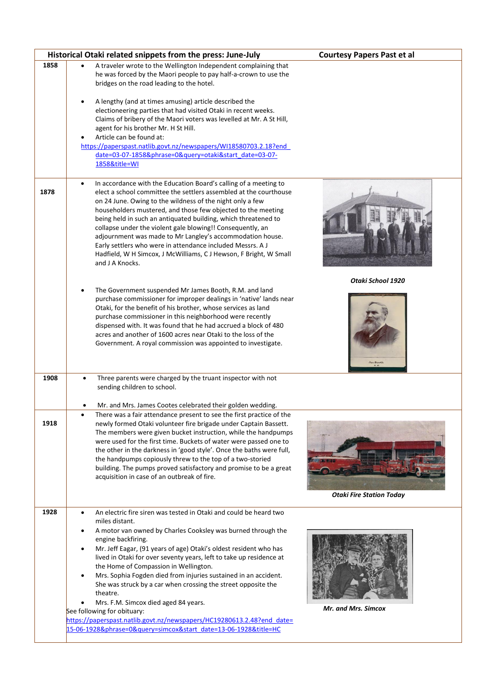|      | Historical Otaki related snippets from the press: June-July                                                                                                                                                                                                                                                                                                                                                                                                                                                                                                                                                                                                                                                                                                  | <b>Courtesy Papers Past et al</b> |
|------|--------------------------------------------------------------------------------------------------------------------------------------------------------------------------------------------------------------------------------------------------------------------------------------------------------------------------------------------------------------------------------------------------------------------------------------------------------------------------------------------------------------------------------------------------------------------------------------------------------------------------------------------------------------------------------------------------------------------------------------------------------------|-----------------------------------|
| 1858 | A traveler wrote to the Wellington Independent complaining that<br>he was forced by the Maori people to pay half-a-crown to use the<br>bridges on the road leading to the hotel.<br>A lengthy (and at times amusing) article described the<br>electioneering parties that had visited Otaki in recent weeks.<br>Claims of bribery of the Maori voters was levelled at Mr. A St Hill,<br>agent for his brother Mr. H St Hill.<br>Article can be found at:<br>https://paperspast.natlib.govt.nz/newspapers/WI18580703.2.18?end<br>date=03-07-1858&phrase=0&query=otaki&start_date=03-07-<br>1858&title=WI                                                                                                                                                      |                                   |
| 1878 | In accordance with the Education Board's calling of a meeting to<br>$\bullet$<br>elect a school committee the settlers assembled at the courthouse<br>on 24 June. Owing to the wildness of the night only a few<br>householders mustered, and those few objected to the meeting<br>being held in such an antiquated building, which threatened to<br>collapse under the violent gale blowing!! Consequently, an<br>adjournment was made to Mr Langley's accommodation house.<br>Early settlers who were in attendance included Messrs. A J<br>Hadfield, W H Simcox, J McWilliams, C J Hewson, F Bright, W Small<br>and J A Knocks.                                                                                                                           |                                   |
|      | The Government suspended Mr James Booth, R.M. and land<br>purchase commissioner for improper dealings in 'native' lands near<br>Otaki, for the benefit of his brother, whose services as land<br>purchase commissioner in this neighborhood were recently<br>dispensed with. It was found that he had accrued a block of 480<br>acres and another of 1600 acres near Otaki to the loss of the<br>Government. A royal commission was appointed to investigate.                                                                                                                                                                                                                                                                                                | Otaki School 1920<br>Jas Bootl    |
| 1908 | Three parents were charged by the truant inspector with not<br>$\bullet$<br>sending children to school.<br>Mr. and Mrs. James Cootes celebrated their golden wedding.                                                                                                                                                                                                                                                                                                                                                                                                                                                                                                                                                                                        |                                   |
| 1918 | There was a fair attendance present to see the first practice of the<br>newly formed Otaki volunteer fire brigade under Captain Bassett.<br>The members were given bucket instruction, while the handpumps<br>were used for the first time. Buckets of water were passed one to<br>the other in the darkness in 'good style'. Once the baths were full,<br>the handpumps copiously threw to the top of a two-storied<br>building. The pumps proved satisfactory and promise to be a great<br>acquisition in case of an outbreak of fire.                                                                                                                                                                                                                     | <b>Otaki Fire Station Today</b>   |
| 1928 | An electric fire siren was tested in Otaki and could be heard two<br>miles distant.<br>A motor van owned by Charles Cooksley was burned through the<br>engine backfiring.<br>Mr. Jeff Eagar, (91 years of age) Otaki's oldest resident who has<br>$\bullet$<br>lived in Otaki for over seventy years, left to take up residence at<br>the Home of Compassion in Wellington.<br>Mrs. Sophia Fogden died from injuries sustained in an accident.<br>$\bullet$<br>She was struck by a car when crossing the street opposite the<br>theatre.<br>Mrs. F.M. Simcox died aged 84 years.<br>See following for obituary:<br>https://paperspast.natlib.govt.nz/newspapers/HC19280613.2.48?end date=<br>15-06-1928&phrase=0&query=simcox&start_date=13-06-1928&title=HC | <b>Mr. and Mrs. Simcox</b>        |